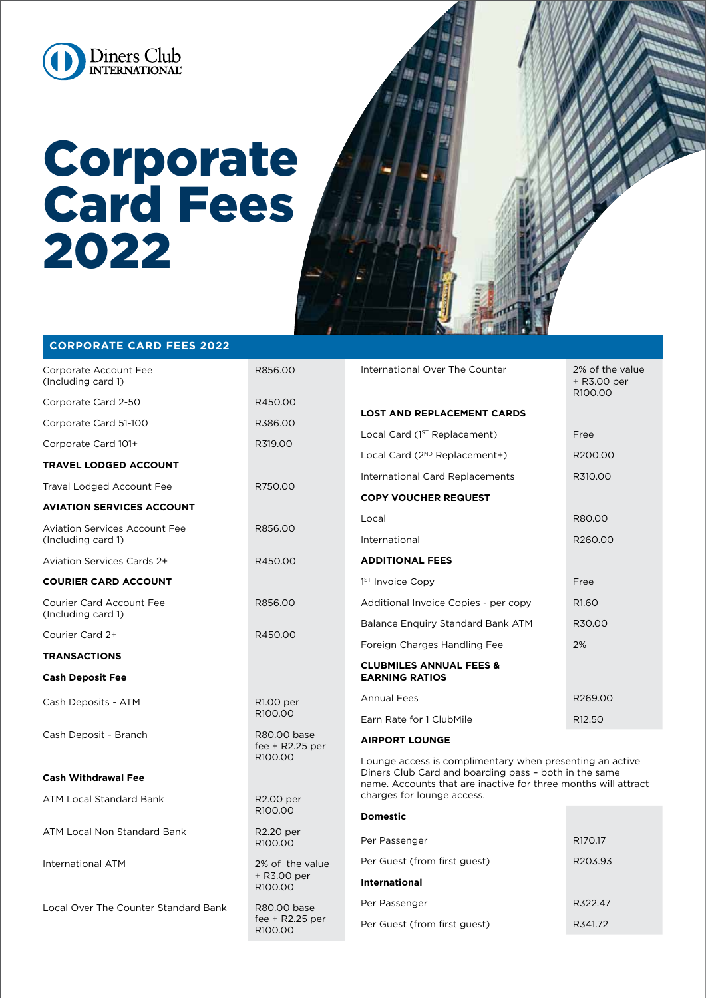

## Corporate Card Fees 2022



## **CORPORATE CARD FEES 2022**

| Corporate Account Fee<br>(Including card 1)                | R856.00                                               | International Over The Counter                                                                                                                                                      | 2% of the value<br>+ R3.00 per<br>R100.00 |
|------------------------------------------------------------|-------------------------------------------------------|-------------------------------------------------------------------------------------------------------------------------------------------------------------------------------------|-------------------------------------------|
| Corporate Card 2-50                                        | R450.00                                               | <b>LOST AND REPLACEMENT CARDS</b>                                                                                                                                                   |                                           |
| Corporate Card 51-100                                      | R386.00                                               |                                                                                                                                                                                     |                                           |
| Corporate Card 101+                                        | R319.00                                               | Local Card (1 <sup>ST</sup> Replacement)                                                                                                                                            | Free                                      |
| <b>TRAVEL LODGED ACCOUNT</b>                               | R750.00                                               | Local Card (2 <sup>ND</sup> Replacement+)                                                                                                                                           | R200.00                                   |
| Travel Lodged Account Fee                                  |                                                       | International Card Replacements                                                                                                                                                     | R310.00                                   |
| <b>AVIATION SERVICES ACCOUNT</b>                           |                                                       | <b>COPY VOUCHER REQUEST</b>                                                                                                                                                         |                                           |
| <b>Aviation Services Account Fee</b><br>(Including card 1) | R856.00                                               | Local                                                                                                                                                                               | R80.00                                    |
|                                                            |                                                       | International                                                                                                                                                                       | R260.00                                   |
| Aviation Services Cards 2+                                 | R450.00                                               | <b>ADDITIONAL FEES</b>                                                                                                                                                              |                                           |
| <b>COURIER CARD ACCOUNT</b>                                |                                                       | 1 <sup>ST</sup> Invoice Copy                                                                                                                                                        | Free                                      |
| <b>Courier Card Account Fee</b>                            | R856.00                                               | Additional Invoice Copies - per copy                                                                                                                                                | R <sub>1.60</sub>                         |
| (Including card 1)                                         | R450.00                                               | Balance Enquiry Standard Bank ATM                                                                                                                                                   | R30.00                                    |
| Courier Card 2+                                            |                                                       | Foreign Charges Handling Fee                                                                                                                                                        | 2%                                        |
| <b>TRANSACTIONS</b>                                        |                                                       | <b>CLUBMILES ANNUAL FEES &amp;</b>                                                                                                                                                  |                                           |
| <b>Cash Deposit Fee</b>                                    |                                                       | <b>EARNING RATIOS</b>                                                                                                                                                               |                                           |
| Cash Deposits - ATM                                        | R1.00 per<br>R <sub>100.00</sub>                      | <b>Annual Fees</b>                                                                                                                                                                  | R269.00                                   |
|                                                            |                                                       | Earn Rate for 1 ClubMile                                                                                                                                                            | R <sub>12.50</sub>                        |
| Cash Deposit - Branch                                      | R80.00 base<br>fee + $R2.25$ per<br>R100.00           | <b>AIRPORT LOUNGE</b>                                                                                                                                                               |                                           |
|                                                            |                                                       | Lounge access is complimentary when presenting an active<br>Diners Club Card and boarding pass - both in the same<br>name. Accounts that are inactive for three months will attract |                                           |
| <b>Cash Withdrawal Fee</b>                                 |                                                       |                                                                                                                                                                                     |                                           |
| ATM Local Standard Bank                                    | R2.00 per<br>R100.00                                  | charges for lounge access.                                                                                                                                                          |                                           |
| ATM Local Non Standard Bank                                | R2.20 per<br>R <sub>100.00</sub>                      | <b>Domestic</b>                                                                                                                                                                     |                                           |
|                                                            |                                                       | Per Passenger                                                                                                                                                                       | R170.17                                   |
| International ATM                                          | 2% of the value<br>+ R3.00 per<br>R <sub>100.00</sub> | Per Guest (from first guest)                                                                                                                                                        | R203.93                                   |
|                                                            |                                                       | <b>International</b>                                                                                                                                                                |                                           |
| Local Over The Counter Standard Bank                       | R80.00 base<br>fee + $R2.25$ per<br>R100.00           | Per Passenger                                                                                                                                                                       | R322.47                                   |
|                                                            |                                                       | Per Guest (from first guest)                                                                                                                                                        | R341.72                                   |